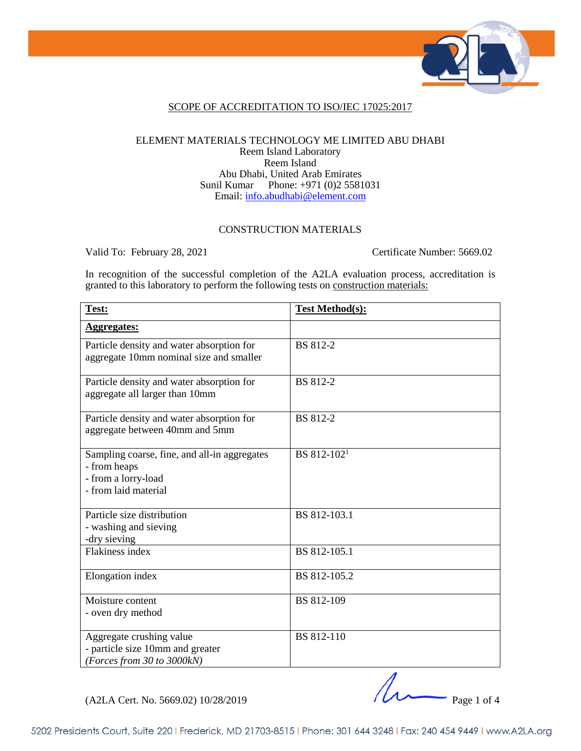

### SCOPE OF ACCREDITATION TO ISO/IEC 17025:2017

#### ELEMENT MATERIALS TECHNOLOGY ME LIMITED ABU DHABI Reem Island Laboratory Reem Island Abu Dhabi, United Arab Emirates Sunil Kumar Phone: +971 (0)2 5581031 Email: [info.abudhabi@element.com](mailto:info.abudhabi@element.com)

### CONSTRUCTION MATERIALS

Valid To: February 28, 2021 Certificate Number: 5669.02

In recognition of the successful completion of the A2LA evaluation process, accreditation is granted to this laboratory to perform the following tests on <u>construction materials:</u>

| Test:                                                                                                       | <b>Test Method(s):</b>  |
|-------------------------------------------------------------------------------------------------------------|-------------------------|
| <b>Aggregates:</b>                                                                                          |                         |
| Particle density and water absorption for<br>aggregate 10mm nominal size and smaller                        | <b>BS</b> 812-2         |
| Particle density and water absorption for<br>aggregate all larger than 10mm                                 | <b>BS</b> 812-2         |
| Particle density and water absorption for<br>aggregate between 40mm and 5mm                                 | <b>BS</b> 812-2         |
| Sampling coarse, fine, and all-in aggregates<br>- from heaps<br>- from a lorry-load<br>- from laid material | BS 812-102 <sup>1</sup> |
| Particle size distribution<br>- washing and sieving<br>-dry sieving                                         | BS 812-103.1            |
| <b>Flakiness index</b>                                                                                      | BS 812-105.1            |
| Elongation index                                                                                            | BS 812-105.2            |
| Moisture content<br>- oven dry method                                                                       | BS 812-109              |
| Aggregate crushing value<br>- particle size 10mm and greater<br>(Forces from 30 to 3000kN)                  | BS 812-110              |

 $(A2LA$  Cert. No. 5669.02) 10/28/2019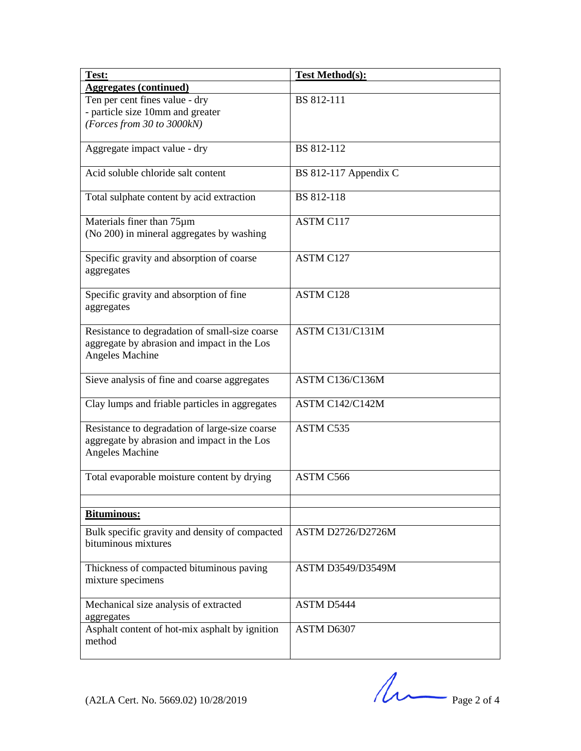| Test:                                                                                                                   | <b>Test Method(s):</b>   |
|-------------------------------------------------------------------------------------------------------------------------|--------------------------|
| <b>Aggregates (continued)</b>                                                                                           |                          |
| Ten per cent fines value - dry                                                                                          | BS 812-111               |
| - particle size 10mm and greater                                                                                        |                          |
| (Forces from 30 to 3000kN)                                                                                              |                          |
| Aggregate impact value - dry                                                                                            | BS 812-112               |
| Acid soluble chloride salt content                                                                                      | BS 812-117 Appendix C    |
| Total sulphate content by acid extraction                                                                               | BS 812-118               |
| Materials finer than 75µm                                                                                               | <b>ASTM C117</b>         |
| (No 200) in mineral aggregates by washing                                                                               |                          |
| Specific gravity and absorption of coarse<br>aggregates                                                                 | ASTM C127                |
| Specific gravity and absorption of fine<br>aggregates                                                                   | ASTM C128                |
| Resistance to degradation of small-size coarse<br>aggregate by abrasion and impact in the Los<br><b>Angeles Machine</b> | <b>ASTM C131/C131M</b>   |
| Sieve analysis of fine and coarse aggregates                                                                            | <b>ASTM C136/C136M</b>   |
| Clay lumps and friable particles in aggregates                                                                          | <b>ASTM C142/C142M</b>   |
| Resistance to degradation of large-size coarse<br>aggregate by abrasion and impact in the Los<br>Angeles Machine        | <b>ASTM C535</b>         |
| Total evaporable moisture content by drying                                                                             | ASTM C566                |
| <b>Bituminous:</b>                                                                                                      |                          |
| Bulk specific gravity and density of compacted                                                                          | ASTM D2726/D2726M        |
| bituminous mixtures                                                                                                     |                          |
| Thickness of compacted bituminous paving<br>mixture specimens                                                           | <b>ASTM D3549/D3549M</b> |
| Mechanical size analysis of extracted<br>aggregates                                                                     | ASTM D5444               |
| Asphalt content of hot-mix asphalt by ignition<br>method                                                                | ASTM D6307               |

 $(A2LA$  Cert. No. 5669.02) 10/28/2019 Page 2 of 4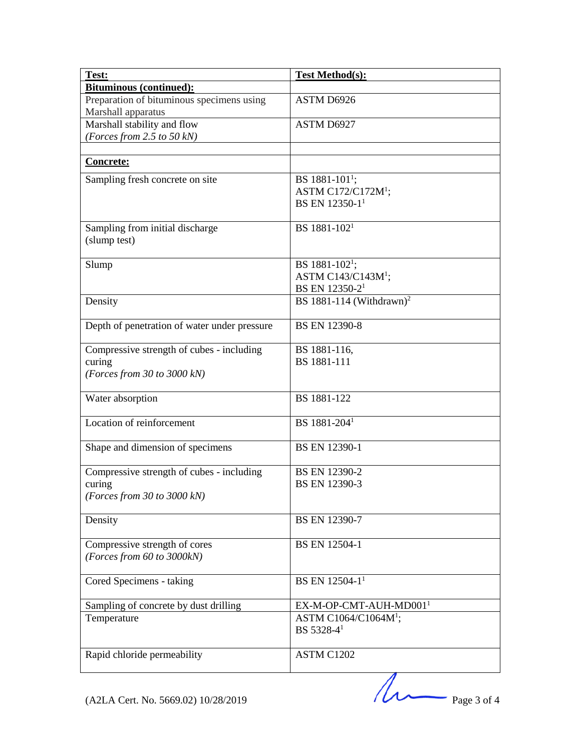| Test:                                        | <b>Test Method(s):</b>               |
|----------------------------------------------|--------------------------------------|
| <b>Bituminous (continued):</b>               |                                      |
| Preparation of bituminous specimens using    | ASTM D6926                           |
| Marshall apparatus                           |                                      |
| Marshall stability and flow                  | ASTM D6927                           |
| (Forces from 2.5 to 50 kN)                   |                                      |
|                                              |                                      |
| <b>Concrete:</b>                             |                                      |
| Sampling fresh concrete on site              | BS 1881-101 <sup>1</sup> ;           |
|                                              | ASTM C172/C172 $M1$ ;                |
|                                              | BS EN 12350-1 <sup>1</sup>           |
| Sampling from initial discharge              | BS 1881-102 <sup>1</sup>             |
| (slump test)                                 |                                      |
|                                              |                                      |
| Slump                                        | BS 1881-102 <sup>1</sup> ;           |
|                                              | ASTM C143/C143M <sup>1</sup> ;       |
|                                              | BS EN 12350-2 <sup>1</sup>           |
| Density                                      | BS 1881-114 (Withdrawn) <sup>2</sup> |
|                                              |                                      |
| Depth of penetration of water under pressure | <b>BS EN 12390-8</b>                 |
| Compressive strength of cubes - including    | BS 1881-116,                         |
| curing                                       | BS 1881-111                          |
| (Forces from 30 to 3000 kN)                  |                                      |
|                                              |                                      |
| Water absorption                             | BS 1881-122                          |
|                                              |                                      |
| Location of reinforcement                    | BS 1881-204 <sup>1</sup>             |
|                                              |                                      |
| Shape and dimension of specimens             | BS EN 12390-1                        |
| Compressive strength of cubes - including    | BS EN 12390-2                        |
| curing                                       | <b>BS EN 12390-3</b>                 |
| (Forces from 30 to 3000 $kN$ )               |                                      |
|                                              |                                      |
| Density                                      | <b>BS EN 12390-7</b>                 |
|                                              |                                      |
| Compressive strength of cores                | <b>BS EN 12504-1</b>                 |
| (Forces from 60 to 3000kN)                   |                                      |
|                                              |                                      |
| Cored Specimens - taking                     | BS EN 12504-1 <sup>1</sup>           |
| Sampling of concrete by dust drilling        | EX-M-OP-CMT-AUH-MD001 <sup>1</sup>   |
| Temperature                                  | ASTM C1064/C1064M <sup>1</sup> ;     |
|                                              | BS 5328-4 <sup>1</sup>               |
|                                              |                                      |
| Rapid chloride permeability                  | ASTM C1202                           |
|                                              |                                      |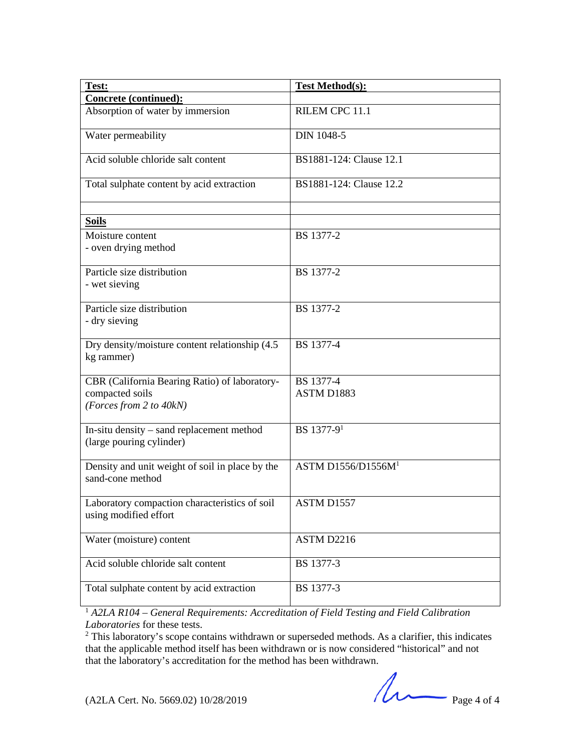| Test:                                                                                       | <b>Test Method(s):</b>         |
|---------------------------------------------------------------------------------------------|--------------------------------|
| Concrete (continued):                                                                       |                                |
| Absorption of water by immersion                                                            | RILEM CPC 11.1                 |
| Water permeability                                                                          | <b>DIN 1048-5</b>              |
| Acid soluble chloride salt content                                                          | BS1881-124: Clause 12.1        |
| Total sulphate content by acid extraction                                                   | BS1881-124: Clause 12.2        |
| <b>Soils</b>                                                                                |                                |
| Moisture content<br>- oven drying method                                                    | BS 1377-2                      |
| Particle size distribution<br>- wet sieving                                                 | BS 1377-2                      |
| Particle size distribution<br>- dry sieving                                                 | BS 1377-2                      |
| Dry density/moisture content relationship (4.5)<br>kg rammer)                               | BS 1377-4                      |
| CBR (California Bearing Ratio) of laboratory-<br>compacted soils<br>(Forces from 2 to 40kN) | BS 1377-4<br>ASTM D1883        |
| In-situ density – sand replacement method<br>(large pouring cylinder)                       | BS 1377-9 <sup>1</sup>         |
| Density and unit weight of soil in place by the<br>sand-cone method                         | ASTM D1556/D1556M <sup>1</sup> |
| Laboratory compaction characteristics of soil<br>using modified effort                      | ASTM D1557                     |
| Water (moisture) content                                                                    | ASTM D2216                     |
| Acid soluble chloride salt content                                                          | BS 1377-3                      |
| Total sulphate content by acid extraction                                                   | BS 1377-3                      |

<sup>1</sup> *A2LA R104 – General Requirements: Accreditation of Field Testing and Field Calibration Laboratories* for these tests.

<sup>2</sup> This laboratory's scope contains withdrawn or superseded methods. As a clarifier, this indicates that the applicable method itself has been withdrawn or is now considered "historical" and not that the laboratory's accreditation for the method has been withdrawn.

 $(A2LA$  Cert. No. 5669.02) 10/28/2019 Page 4 of 4